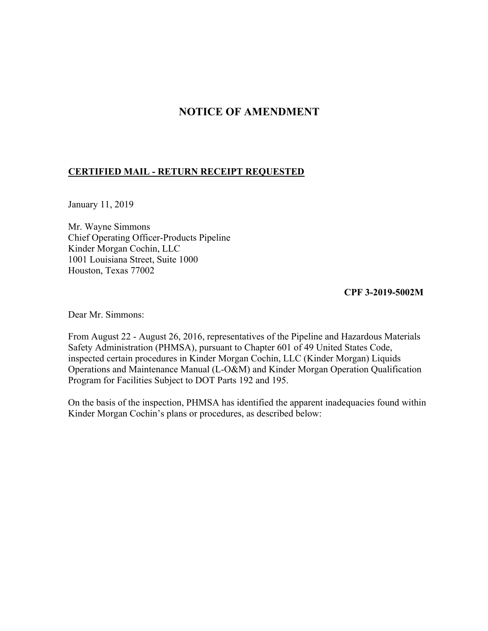## **NOTICE OF AMENDMENT**

## **CERTIFIED MAIL - RETURN RECEIPT REQUESTED**

January 11, 2019

Mr. Wayne Simmons Chief Operating Officer-Products Pipeline Kinder Morgan Cochin, LLC 1001 Louisiana Street, Suite 1000 Houston, Texas 77002

**CPF 3-2019-5002M** 

Dear Mr. Simmons:

From August 22 - August 26, 2016, representatives of the Pipeline and Hazardous Materials Safety Administration (PHMSA), pursuant to Chapter 601 of 49 United States Code, inspected certain procedures in Kinder Morgan Cochin, LLC (Kinder Morgan) Liquids Operations and Maintenance Manual (L-O&M) and Kinder Morgan Operation Qualification Program for Facilities Subject to DOT Parts 192 and 195.

On the basis of the inspection, PHMSA has identified the apparent inadequacies found within Kinder Morgan Cochin's plans or procedures, as described below: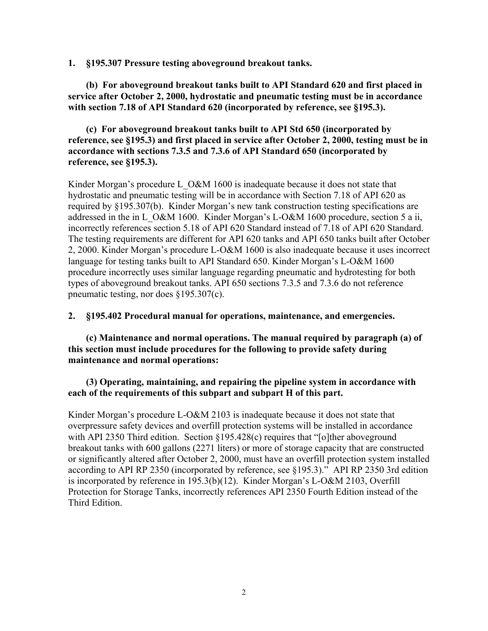**1. §195.307 Pressure testing aboveground breakout tanks.** 

**(b) For aboveground breakout tanks built to API Standard 620 and first placed in service after October 2, 2000, hydrostatic and pneumatic testing must be in accordance with section 7.18 of API Standard 620 (incorporated by reference, see §195.3).** 

## **(c) For aboveground breakout tanks built to API Std 650 (incorporated by reference, see §195.3) and first placed in service after October 2, 2000, testing must be in accordance with sections 7.3.5 and 7.3.6 of API Standard 650 (incorporated by reference, see §195.3).**

Kinder Morgan's procedure L\_O&M 1600 is inadequate because it does not state that hydrostatic and pneumatic testing will be in accordance with Section 7.18 of API 620 as required by §195.307(b). Kinder Morgan's new tank construction testing specifications are addressed in the in L\_O&M 1600. Kinder Morgan's L-O&M 1600 procedure, section 5 a ii, incorrectly references section 5.18 of API 620 Standard instead of 7.18 of API 620 Standard. The testing requirements are different for API 620 tanks and API 650 tanks built after October 2, 2000. Kinder Morgan's procedure L-O&M 1600 is also inadequate because it uses incorrect language for testing tanks built to API Standard 650. Kinder Morgan's L-O&M 1600 procedure incorrectly uses similar language regarding pneumatic and hydrotesting for both types of aboveground breakout tanks. API 650 sections 7.3.5 and 7.3.6 do not reference pneumatic testing, nor does §195.307(c).

**2. §195.402 Procedural manual for operations, maintenance, and emergencies.**

**(c) Maintenance and normal operations. The manual required by paragraph (a) of this section must include procedures for the following to provide safety during maintenance and normal operations:** 

**(3) Operating, maintaining, and repairing the pipeline system in accordance with each of the requirements of this subpart and subpart H of this part.** 

 is incorporated by reference in 195.3(b)(12). Kinder Morgan's L-O&M 2103, Overfill Kinder Morgan's procedure L-O&M 2103 is inadequate because it does not state that overpressure safety devices and overfill protection systems will be installed in accordance with API 2350 Third edition. Section §195.428(c) requires that "[o]ther aboveground breakout tanks with 600 gallons (2271 liters) or more of storage capacity that are constructed or significantly altered after October 2, 2000, must have an overfill protection system installed according to API RP 2350 (incorporated by reference, see §195.3)." API RP 2350 3rd edition Protection for Storage Tanks, incorrectly references API 2350 Fourth Edition instead of the Third Edition.